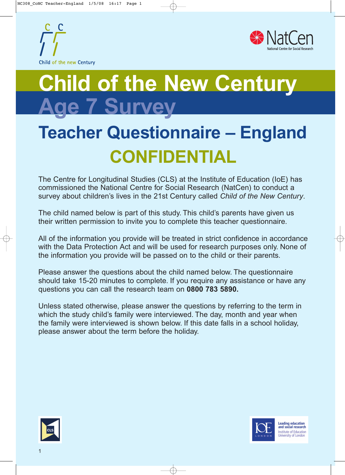



# **Child of the New Century Age 7 Survey**

## **Teacher Questionnaire – England CONFIDENTIAL**

The Centre for Longitudinal Studies (CLS) at the Institute of Education (IoE) has commissioned the National Centre for Social Research (NatCen) to conduct a survey about children's lives in the 21st Century called *Child of the New Century*.

The child named below is part of this study. This child's parents have given us their written permission to invite you to complete this teacher questionnaire.

All of the information you provide will be treated in strict confidence in accordance with the Data Protection Act and will be used for research purposes only. None of the information you provide will be passed on to the child or their parents.

Please answer the questions about the child named below. The questionnaire should take 15-20 minutes to complete. If you require any assistance or have any questions you can call the research team on **0800 783 5890.**

Unless stated otherwise, please answer the questions by referring to the term in which the study child's family were interviewed. The day, month and year when the family were interviewed is shown below. If this date falls in a school holiday, please answer about the term before the holiday.





1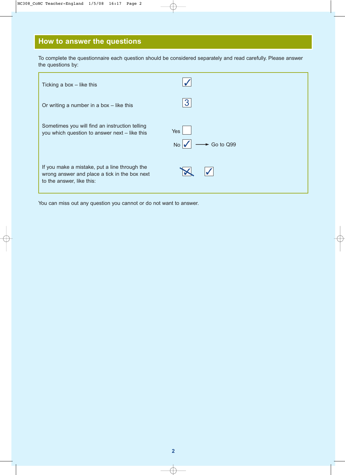## **How to answer the questions**

To complete the questionnaire each question should be considered separately and read carefully. Please answer the questions by:

| Ticking a box $-$ like this                                                                                                 |                        |
|-----------------------------------------------------------------------------------------------------------------------------|------------------------|
| Or writing a number in a box - like this                                                                                    | 3                      |
| Sometimes you will find an instruction telling<br>you which question to answer next - like this                             | Yes<br>Go to Q99<br>No |
| If you make a mistake, put a line through the<br>wrong answer and place a tick in the box next<br>to the answer, like this: |                        |

You can miss out any question you cannot or do not want to answer.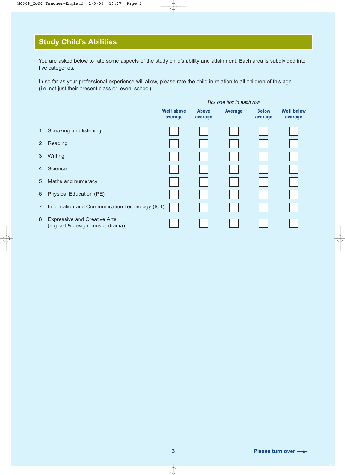#### **Study Child's Abilities**

You are asked below to rate some aspects of the study child's ability and attainment. Each area is subdivided into five categories.

In so far as your professional experience will allow, please rate the child in relation to all children of this age (i.e. not just their present class or, even, school).

|                |                                                                          |                              |                         | Tick one box in each row |                         |                              |
|----------------|--------------------------------------------------------------------------|------------------------------|-------------------------|--------------------------|-------------------------|------------------------------|
|                |                                                                          | <b>Well above</b><br>average | <b>Above</b><br>average | <b>Average</b>           | <b>Below</b><br>average | <b>Well below</b><br>average |
| $\mathbf{1}$   | Speaking and listening                                                   |                              |                         |                          |                         |                              |
| $\overline{2}$ | Reading                                                                  |                              |                         |                          |                         |                              |
| 3              | Writing                                                                  |                              |                         |                          |                         |                              |
| 4              | Science                                                                  |                              |                         |                          |                         |                              |
| 5              | Maths and numeracy                                                       |                              |                         |                          |                         |                              |
| 6              | Physical Education (PE)                                                  |                              |                         |                          |                         |                              |
| $\overline{7}$ | Information and Communication Technology (ICT)                           |                              |                         |                          |                         |                              |
| 8              | <b>Expressive and Creative Arts</b><br>(e.g. art & design, music, drama) |                              |                         |                          |                         |                              |

**3 Please turn over**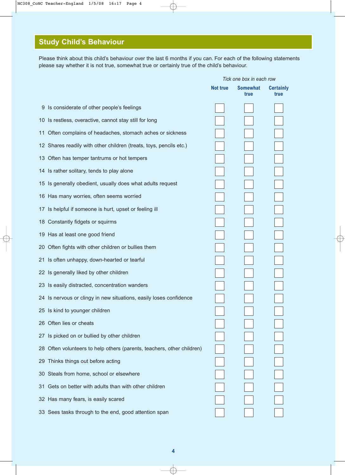## **Study Child's Behaviour**

Please think about this child's behaviour over the last 6 months if you can. For each of the following statements please say whether it is not true, somewhat true or certainly true of the child's behaviour.

|                                                                        |                 | Tick one box in each row |                          |
|------------------------------------------------------------------------|-----------------|--------------------------|--------------------------|
|                                                                        | <b>Not true</b> | <b>Somewhat</b><br>true  | <b>Certainly</b><br>true |
| 9 Is considerate of other people's feelings                            |                 |                          |                          |
| 10 Is restless, overactive, cannot stay still for long                 |                 |                          |                          |
| Often complains of headaches, stomach aches or sickness<br>11          |                 |                          |                          |
| 12 Shares readily with other children (treats, toys, pencils etc.)     |                 |                          |                          |
| 13 Often has temper tantrums or hot tempers                            |                 |                          |                          |
| 14 Is rather solitary, tends to play alone                             |                 |                          |                          |
| 15 Is generally obedient, usually does what adults request             |                 |                          |                          |
| 16 Has many worries, often seems worried                               |                 |                          |                          |
| 17 Is helpful if someone is hurt, upset or feeling ill                 |                 |                          |                          |
| 18 Constantly fidgets or squirms                                       |                 |                          |                          |
| 19 Has at least one good friend                                        |                 |                          |                          |
| 20 Often fights with other children or bullies them                    |                 |                          |                          |
| 21 Is often unhappy, down-hearted or tearful                           |                 |                          |                          |
| 22 Is generally liked by other children                                |                 |                          |                          |
| 23 Is easily distracted, concentration wanders                         |                 |                          |                          |
| 24 Is nervous or clingy in new situations, easily loses confidence     |                 |                          |                          |
| 25 Is kind to younger children                                         |                 |                          |                          |
| 26 Often lies or cheats                                                |                 |                          |                          |
| 27 Is picked on or bullied by other children                           |                 |                          |                          |
| 28 Often volunteers to help others (parents, teachers, other children) |                 |                          |                          |
| Thinks things out before acting<br>29                                  |                 |                          |                          |
| 30 Steals from home, school or elsewhere                               |                 |                          |                          |
| Gets on better with adults than with other children<br>31              |                 |                          |                          |
| 32 Has many fears, is easily scared                                    |                 |                          |                          |
| 33 Sees tasks through to the end, good attention span                  |                 |                          |                          |
|                                                                        |                 |                          |                          |

**4**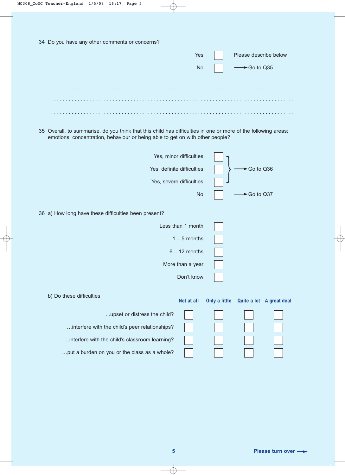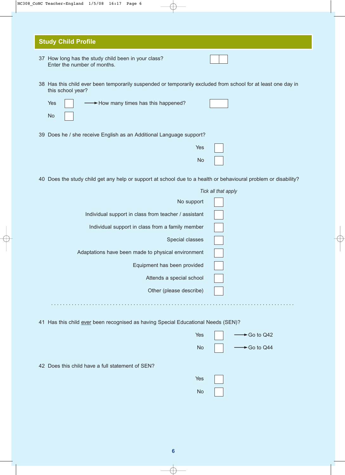|  | NC308 CoNC Teacher-England 1/5/08 16:17 Page 6 |  |  |
|--|------------------------------------------------|--|--|
|  |                                                |  |  |

| 37 How long has the study child been in your class?<br>Enter the number of months.                                                 |                     |
|------------------------------------------------------------------------------------------------------------------------------------|---------------------|
| 38 Has this child ever been temporarily suspended or temporarily excluded from school for at least one day in<br>this school year? |                     |
| >How many times has this happened?<br>Yes<br><b>No</b>                                                                             |                     |
| 39 Does he / she receive English as an Additional Language support?                                                                |                     |
| <b>Yes</b>                                                                                                                         |                     |
| No                                                                                                                                 |                     |
| 40 Does the study child get any help or support at school due to a health or behavioural problem or disability?                    |                     |
|                                                                                                                                    | Tick all that apply |
| No support                                                                                                                         |                     |
| Individual support in class from teacher / assistant                                                                               |                     |
| Individual support in class from a family member                                                                                   |                     |
| Special classes                                                                                                                    |                     |
| Adaptations have been made to physical environment                                                                                 |                     |
| Equipment has been provided                                                                                                        |                     |
| Attends a special school                                                                                                           |                     |

Has this child ever been recognised as having Special Educational Needs (SEN)?

| Yes       | $\longrightarrow$ Go to Q42 |
|-----------|-----------------------------|
| <b>No</b> | $\rightarrow$ Go to Q44     |

42 Does this child have a full statement of SEN?

| <b>Yes</b> |  |
|------------|--|
| No         |  |

**6**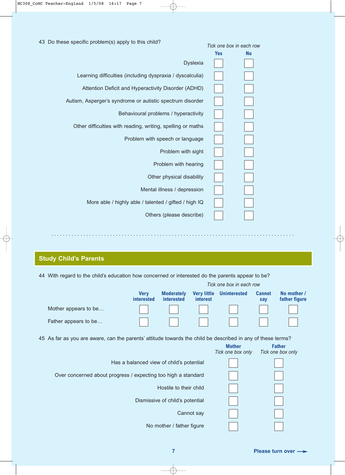| 43 Do these specific problem(s) apply to this child?        |            | Tick one box in each row |  |  |
|-------------------------------------------------------------|------------|--------------------------|--|--|
|                                                             | <b>Yes</b> | <b>No</b>                |  |  |
| <b>Dyslexia</b>                                             |            |                          |  |  |
| Learning difficulties (including dyspraxia / dyscalculia)   |            |                          |  |  |
| Attention Deficit and Hyperactivity Disorder (ADHD)         |            |                          |  |  |
| Autism, Asperger's syndrome or autistic spectrum disorder   |            |                          |  |  |
| Behavioural problems / hyperactivity                        |            |                          |  |  |
| Other difficulties with reading, writing, spelling or maths |            |                          |  |  |
| Problem with speech or language                             |            |                          |  |  |
| Problem with sight                                          |            |                          |  |  |
| Problem with hearing                                        |            |                          |  |  |
| Other physical disability                                   |            |                          |  |  |
| Mental illness / depression                                 |            |                          |  |  |
| More able / highly able / talented / gifted / high IQ       |            |                          |  |  |
| Others (please describe)                                    |            |                          |  |  |
|                                                             |            |                          |  |  |

#### **Study Child's Parents**

44 With regard to the child's education how concerned or interested do the parents appear to be?

. . . . . . . . . . . . . . . . . . . . . . . . . . . . . . . . . . . . . . . . . . . . . . . . . . . . . . . . . . . . . . . . . . . . . . . . . . . . . . . . . . .

|                                                                                                             | Tick one box in each row         |                                          |                                       |                                    |                      |                                    |
|-------------------------------------------------------------------------------------------------------------|----------------------------------|------------------------------------------|---------------------------------------|------------------------------------|----------------------|------------------------------------|
|                                                                                                             | <b>Very</b><br><i>interested</i> | <b>Moderately</b><br><b>interested</b>   | <b>Very little</b><br><i>interest</i> | <b>Uninterested</b>                | <b>Cannot</b><br>say | No mother /<br>father figure       |
| Mother appears to be                                                                                        |                                  |                                          |                                       |                                    |                      |                                    |
| Father appears to be                                                                                        |                                  |                                          |                                       |                                    |                      |                                    |
| 45 As far as you are aware, can the parents' attitude towards the child be described in any of these terms? |                                  |                                          |                                       |                                    |                      |                                    |
|                                                                                                             |                                  |                                          |                                       | <b>Mother</b><br>Tick one box only |                      | <b>Father</b><br>Tick one box only |
|                                                                                                             |                                  | Has a balanced view of child's potential |                                       |                                    |                      |                                    |
| Over concerned about progress / expecting too high a standard                                               |                                  |                                          |                                       |                                    |                      |                                    |
|                                                                                                             |                                  | Hostile to their child                   |                                       |                                    |                      |                                    |
|                                                                                                             |                                  | Dismissive of child's potential          |                                       |                                    |                      |                                    |
|                                                                                                             |                                  |                                          | Cannot say                            |                                    |                      |                                    |
|                                                                                                             |                                  | No mother / father figure                |                                       |                                    |                      |                                    |

**7 Please turn over**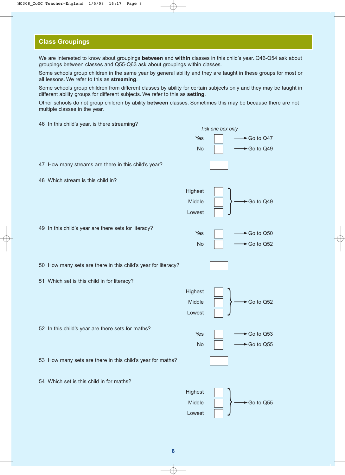#### **Class Groupings**

We are interested to know about groupings **between** and **within** classes in this child's year. Q46-Q54 ask about groupings between classes and Q55-Q63 ask about groupings within classes.

Some schools group children in the same year by general ability and they are taught in these groups for most or all lessons. We refer to this as **streaming**.

Some schools group children from different classes by ability for certain subjects only and they may be taught in different ability groups for different subjects. We refer to this as **setting**.

Other schools do not group children by ability **between** classes. Sometimes this may be because there are not multiple classes in the year.

46 In this child's year, is there streaming? Tick one box only<br>Yes  $\Box$   $\longrightarrow$  Go to Q47  $\overline{\phantom{0}}$  No  $\overline{\phantom{0}}$   $\overline{\phantom{0}}$   $\overline{\phantom{0}}$  Go to Q49 47 How many streams are there in this child's year? 48 Which stream is this child in? **Highest** Middle  $\vert \vert \rangle \longrightarrow$  Go to Q49 Lowest 49 In this child's year are there sets for literacy?  $Yes \qquad \qquad \Box \qquad \longrightarrow Go \text{ to } Q50$ No  $\vert \vert \longrightarrow$  Go to Q52 50 How many sets are there in this child's year for literacy? 51 Which set is this child in for literacy? **Highest** Middle  $\|\cdot\|$   $\longrightarrow$  Go to Q52 Lowest 52 In this child's year are there sets for maths? Yes ➞Go to Q53 No  $\vert \vert \longrightarrow$  Go to Q55 53 How many sets are there in this child's year for maths? 54 Which set is this child in for maths? **Highest** Middle  $\vert \vert \rangle \longrightarrow$  Go to Q55 Lowest } } }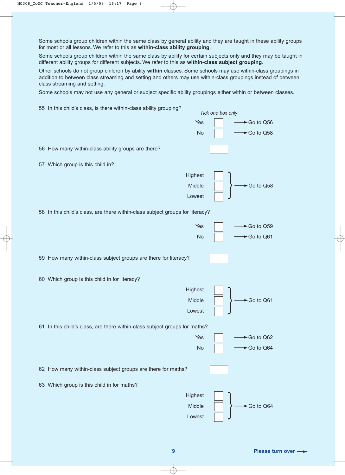Some schools group children within the same class by general ability and they are taught in these ability groups for most or all lessons. We refer to this as **within-class ability grouping**.

Some schools group children within the same class by ability for certain subjects only and they may be taught in different ability groups for different subjects. We refer to this as **within-class subject grouping**.

Other schools do not group children by ability **within** classes. Some schools may use within-class groupings in addition to between class streaming and setting and others may use within-class groupings instead of between class streaming and setting.

Some schools may not use any general or subject specific ability groupings either within or between classes.

55 In this child's class, is there within-class ability grouping?  $Tick$  one box only<br>Yes  $\Box$   $\longrightarrow$  Go to Q56  $\overline{N}$  No  $\overline{N}$   $\longrightarrow$  Go to Q58 56 How many within-class ability groups are there? 57 Which group is this child in? **Highest** Middle  $\|\cdot\|$   $\longrightarrow$  Go to Q58 Lowest 58 In this child's class, are there within-class subject groups for literacy?  $Yes$   $\vert$   $\longrightarrow$  Go to Q59 No │ │ → Go to Q61 59 How many within-class subject groups are there for literacy? 60 Which group is this child in for literacy? **Highest**  $\begin{array}{|c|c|}\n\hline\n\text{Middle} & \text{ } \\\hline\n\end{array}$   $\begin{array}{|c|c|}\n\hline\n\end{array}$   $\begin{array}{|c|c|}\n\hline\n\end{array}$  Go to Q61 Lowest 61 In this child's class, are there within-class subject groups for maths?  $Yes \qquad \qquad \Box \qquad \longrightarrow Go \text{ to } Q62$ No │ │ → Go to Q64 62 How many within-class subject groups are there for maths? 63 Which group is this child in for maths? **Highest** Middle  $\vert \vert \rangle \longrightarrow$  Go to Q64 Lowest } } }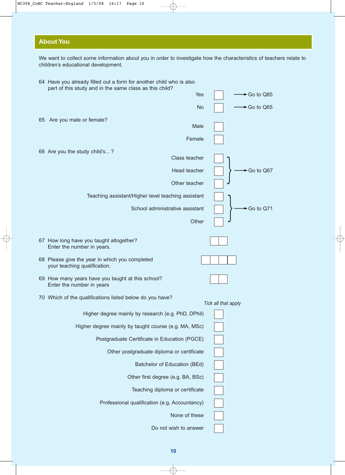#### **About You**

We want to collect some information about you in order to investigate how the characteristics of teachers relate to children's educational development.

|    | 64 Have you already filled out a form for another child who is also<br>part of this study and in the same class as this child? |                     |
|----|--------------------------------------------------------------------------------------------------------------------------------|---------------------|
|    | Yes                                                                                                                            | Go to Q85           |
|    | <b>No</b>                                                                                                                      | ►Go to Q65          |
| 65 | Are you male or female?                                                                                                        |                     |
|    | Male                                                                                                                           |                     |
|    | Female                                                                                                                         |                     |
|    | 66 Are you the study child's?<br>Class teacher                                                                                 |                     |
|    | Head teacher                                                                                                                   | ►Go to Q67          |
|    | Other teacher                                                                                                                  |                     |
|    | Teaching assistant/Higher level teaching assistant                                                                             |                     |
|    | School administrative assistant                                                                                                | ►Go to Q71          |
|    | Other                                                                                                                          |                     |
|    |                                                                                                                                |                     |
|    | 67 How long have you taught altogether?<br>Enter the number in years.                                                          |                     |
|    | 68 Please give the year in which you completed<br>your teaching qualification.                                                 |                     |
|    | 69 How many years have you taught at this school?<br>Enter the number in years                                                 |                     |
|    | 70 Which of the qualifications listed below do you have?                                                                       |                     |
|    | Higher degree mainly by research (e.g. PhD, DPhil)                                                                             | Tick all that apply |
|    |                                                                                                                                |                     |
|    | Higher degree mainly by taught course (e.g. MA, MSc)                                                                           |                     |
|    | Postgraduate Certificate in Education (PGCE)                                                                                   |                     |
|    | Other postgraduate diploma or certificate                                                                                      |                     |
|    | Batchelor of Education (BEd)                                                                                                   |                     |
|    | Other first degree (e.g. BA, BSc)                                                                                              |                     |
|    | Teaching diploma or certificate                                                                                                |                     |
|    | Professional qualification (e.g. Accountancy)                                                                                  |                     |
|    | None of these                                                                                                                  |                     |
|    | Do not wish to answer                                                                                                          |                     |

**10**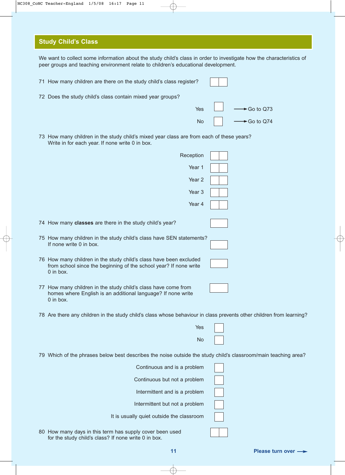#### **Study Child's Class**

We want to collect some information about the study child's class in order to investigate how the characteristics of peer groups and teaching environment relate to children's educational development. 71 How many children are there on the study child's class register? 72 Does the study child's class contain mixed year groups? Yes ➞Go to Q73  $\overline{N}$   $\overline{N}$   $\overline{N}$   $\overline{N}$   $\overline{S}$   $\overline{S}$   $\overline{S}$   $\overline{S}$   $\overline{S}$   $\overline{S}$   $\overline{S}$   $\overline{S}$   $\overline{S}$   $\overline{S}$   $\overline{S}$   $\overline{S}$   $\overline{S}$   $\overline{S}$   $\overline{$ 73 How many children in the study child's mixed year class are from each of these years? Write in for each year. If none write 0 in box. Reception Year 1 Year 2 Year 3 Year 4 74 How many **classes** are there in the study child's year? 75 How many children in the study child's class have SEN statements? If none write 0 in box. 76 How many children in the study child's class have been excluded from school since the beginning of the school year? If none write 0 in box. 77 How many children in the study child's class have come from homes where English is an additional language? If none write 0 in box. 78 Are there any children in the study child's class whose behaviour in class prevents other children from learning? Yes No 79 Which of the phrases below best describes the noise outside the study child's classroom/main teaching area?

> Continuous and is a problem Continuous but not a problem Intermittent and is a problem Intermittent but not a problem It is usually quiet outside the classroom

80 How many days in this term has supply cover been used for the study child's class? If none write 0 in box.

**11 Please turn over**  $\rightarrow$